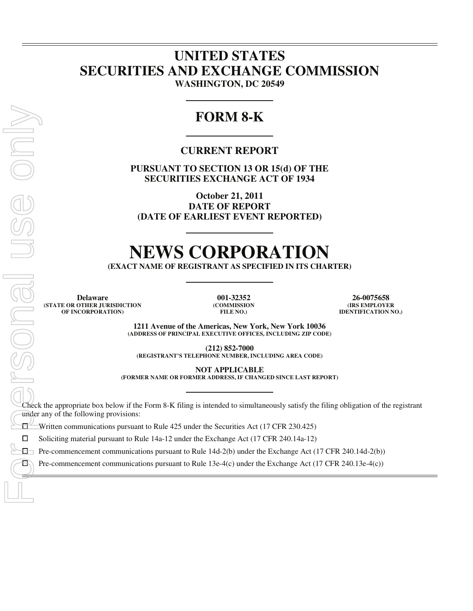## **UNITED STATES SECURITIES AND EXCHANGE COMMISSION WASHINGTON, DC 20549**

# **FORM 8-K**

### **CURRENT REPORT**

**PURSUANT TO SECTION 13 OR 15(d) OF THE SECURITIES EXCHANGE ACT OF 1934** 

**October 21, 2011 DATE OF REPORT (DATE OF EARLIEST EVENT REPORTED)** 

# **NEWS CORPORATION**

**(EXACT NAME OF REGISTRANT AS SPECIFIED IN ITS CHARTER)** 

**Delaware 001-32352 26-0075658 (STATE OR OTHER JURISDICTION OF INCORPORATION)**

**(COMMISSION FILE NO.)**

**(IRS EMPLOYER IDENTIFICATION NO.)**

**1211 Avenue of the Americas, New York, New York 10036 (ADDRESS OF PRINCIPAL EXECUTIVE OFFICES, INCLUDING ZIP CODE)** 

**(212) 852-7000 (REGISTRANT'S TELEPHONE NUMBER, INCLUDING AREA CODE)** 

**NOT APPLICABLE** 

**(FORMER NAME OR FORMER ADDRESS, IF CHANGED SINCE LAST REPORT)** 

Check the appropriate box below if the Form 8-K filing is intended to simultaneously satisfy the filing obligation of the registrant under any of the following provisions:

Written communications pursuant to Rule 425 under the Securities Act (17 CFR 230.425)<br>  $\square$  Soliciting material pursuant to Rule 14a-12 under the Exchange Act (17 CFR 240.14a-12)

Soliciting material pursuant to Rule 14a-12 under the Exchange Act (17 CFR 240.14a-12)

Pre-commencement communications pursuant to Rule 14d-2(b) under the Exchange Act (17 CFR 240.14d-2(b))<br>  $\Box$  Pre-commencement communications pursuant to Rule 13e-4(c) under the Exchange Act (17 CFR 240.13e-4(c))

 $\overline{a}$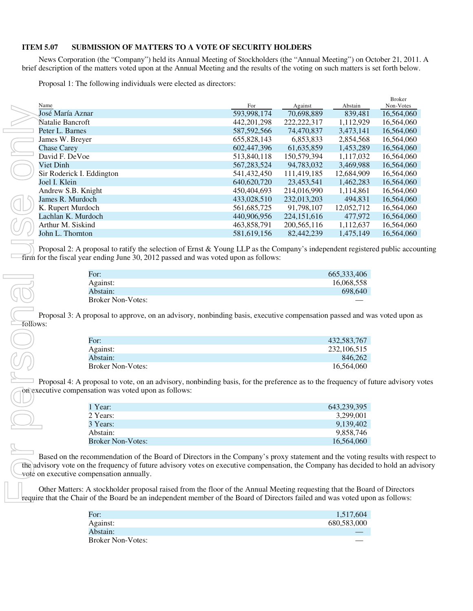### **ITEM 5.07 SUBMISSION OF MATTERS TO A VOTE OF SECURITY HOLDERS**

News Corporation (the "Company") held its Annual Meeting of Stockholders (the "Annual Meeting") on October 21, 2011. A brief description of the matters voted upon at the Annual Meeting and the results of the voting on such matters is set forth below.

Proposal 1: The following individuals were elected as directors:

|  |                           |               |               |            | <b>Broker</b> |
|--|---------------------------|---------------|---------------|------------|---------------|
|  | Name                      | For           | Against       | Abstain    | Non-Votes     |
|  | José María Aznar          | 593,998,174   | 70,698,889    | 839.481    | 16,564,060    |
|  | Natalie Bancroft          | 442, 201, 298 | 222, 222, 317 | 1,112,929  | 16,564,060    |
|  | Peter L. Barnes           | 587, 592, 566 | 74,470,837    | 3,473,141  | 16.564,060    |
|  | James W. Breyer           | 655,828,143   | 6.853.833     | 2,854,568  | 16.564.060    |
|  | <b>Chase Carey</b>        | 602,447,396   | 61,635,859    | 1,453,289  | 16,564,060    |
|  | David F. DeVoe            | 513,840,118   | 150.579.394   | 1.117.032  | 16.564.060    |
|  | Viet Dinh                 | 567, 283, 524 | 94,783,032    | 3,469,988  | 16,564,060    |
|  | Sir Roderick I. Eddington | 541,432,450   | 111.419.185   | 12.684.909 | 16.564.060    |
|  | Joel I. Klein             | 640,620,720   | 23,453,541    | 1,462,283  | 16,564,060    |
|  | Andrew S.B. Knight        | 450,404,693   | 214,016,990   | 1,114,861  | 16,564,060    |
|  | James R. Murdoch          | 433,028,510   | 232,013,203   | 494.831    | 16,564,060    |
|  | K. Rupert Murdoch         | 561,685,725   | 91,798,107    | 12.052.712 | 16,564,060    |
|  | Lachlan K. Murdoch        | 440,906,956   | 224, 151, 616 | 477,972    | 16,564,060    |
|  | Arthur M. Siskind         | 463,858,791   | 200, 565, 116 | 1,112,637  | 16,564,060    |
|  | John L. Thornton          | 581,619,156   | 82,442,239    | 1.475.149  | 16.564,060    |
|  |                           |               |               |            |               |

Proposal 2: A proposal to ratify the selection of Ernst & Young LLP as the Company's independent registered public accounting firm for the fiscal year ending June 30, 2012 passed and was voted upon as follows:

| For:                     | 665, 333, 406 |
|--------------------------|---------------|
| Against:                 | 16,068,558    |
| Abstain:                 | 698,640       |
| <b>Broker Non-Votes:</b> |               |

Proposal 3: A proposal to approve, on an advisory, nonbinding basis, executive compensation passed and was voted upon as follows:

| For:                     | 432.583.767 |
|--------------------------|-------------|
| Against:                 | 232,106,515 |
| Abstain:                 | 846.262     |
| <b>Broker Non-Votes:</b> | 16.564,060  |

 $\Box$  Proposal 4: A proposal to vote, on an advisory, nonbinding basis, for the preference as to the frequency of future advisory votes on executive compensation was voted upon as follows:

| 1 Year:                  | 643,239,395 |
|--------------------------|-------------|
| 2 Years:                 | 3.299.001   |
| 3 Years:                 | 9.139.402   |
| Abstain:                 | 9.858.746   |
| <b>Broker Non-Votes:</b> | 16.564,060  |

Based on the recommendation of the Board of Directors in the Company's proxy statement and the voting results with respect to the advisory vote on the frequency of future advisory votes on executive compensation, the Company has decided to hold an advisory vote on executive compensation annually.

Other Matters: A stockholder proposal raised from the floor of the Annual Meeting requesting that the Board of Directors require that the Chair of the Board be an independent member of the Board of Directors failed and was voted upon as follows:

| For:                     | 1,517,604   |
|--------------------------|-------------|
| Against:                 | 680,583,000 |
| Abstain:                 |             |
| <b>Broker Non-Votes:</b> |             |